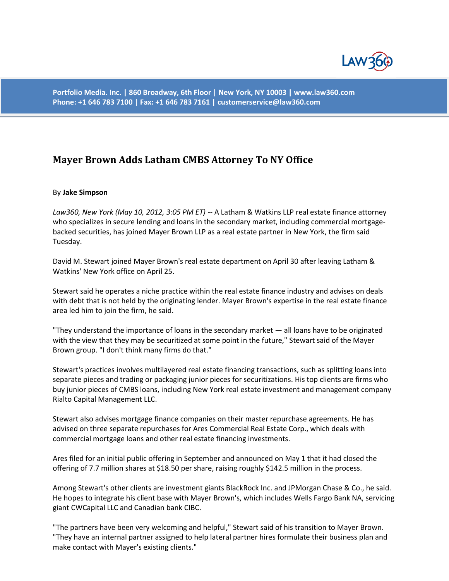

**Portfolio Media. Inc. | 860 Broadway, 6th Floor | New York, NY 10003 | www.law360.com Phone: +1 646 783 7100 | Fax: +1 646 783 7161 [| customerservice@law360.com](mailto:customerservice@law360.com)**

## **Mayer Brown Adds Latham CMBS Attorney To NY Office**

## By **Jake Simpson**

*Law360, New York (May 10, 2012, 3:05 PM ET)* -- A Latham & Watkins LLP real estate finance attorney who specializes in secure lending and loans in the secondary market, including commercial mortgagebacked securities, has joined Mayer Brown LLP as a real estate partner in New York, the firm said Tuesday.

David M. Stewart joined Mayer Brown's real estate department on April 30 after leaving Latham & Watkins' New York office on April 25.

Stewart said he operates a niche practice within the real estate finance industry and advises on deals with debt that is not held by the originating lender. Mayer Brown's expertise in the real estate finance area led him to join the firm, he said.

"They understand the importance of loans in the secondary market — all loans have to be originated with the view that they may be securitized at some point in the future," Stewart said of the Mayer Brown group. "I don't think many firms do that."

Stewart's practices involves multilayered real estate financing transactions, such as splitting loans into separate pieces and trading or packaging junior pieces for securitizations. His top clients are firms who buy junior pieces of CMBS loans, including New York real estate investment and management company Rialto Capital Management LLC.

Stewart also advises mortgage finance companies on their master repurchase agreements. He has advised on three separate repurchases for Ares Commercial Real Estate Corp., which deals with commercial mortgage loans and other real estate financing investments.

Ares filed for an initial public offering in September and announced on May 1 that it had closed the offering of 7.7 million shares at \$18.50 per share, raising roughly \$142.5 million in the process.

Among Stewart's other clients are investment giants BlackRock Inc. and JPMorgan Chase & Co., he said. He hopes to integrate his client base with Mayer Brown's, which includes Wells Fargo Bank NA, servicing giant CWCapital LLC and Canadian bank CIBC.

"The partners have been very welcoming and helpful," Stewart said of his transition to Mayer Brown. "They have an internal partner assigned to help lateral partner hires formulate their business plan and make contact with Mayer's existing clients."